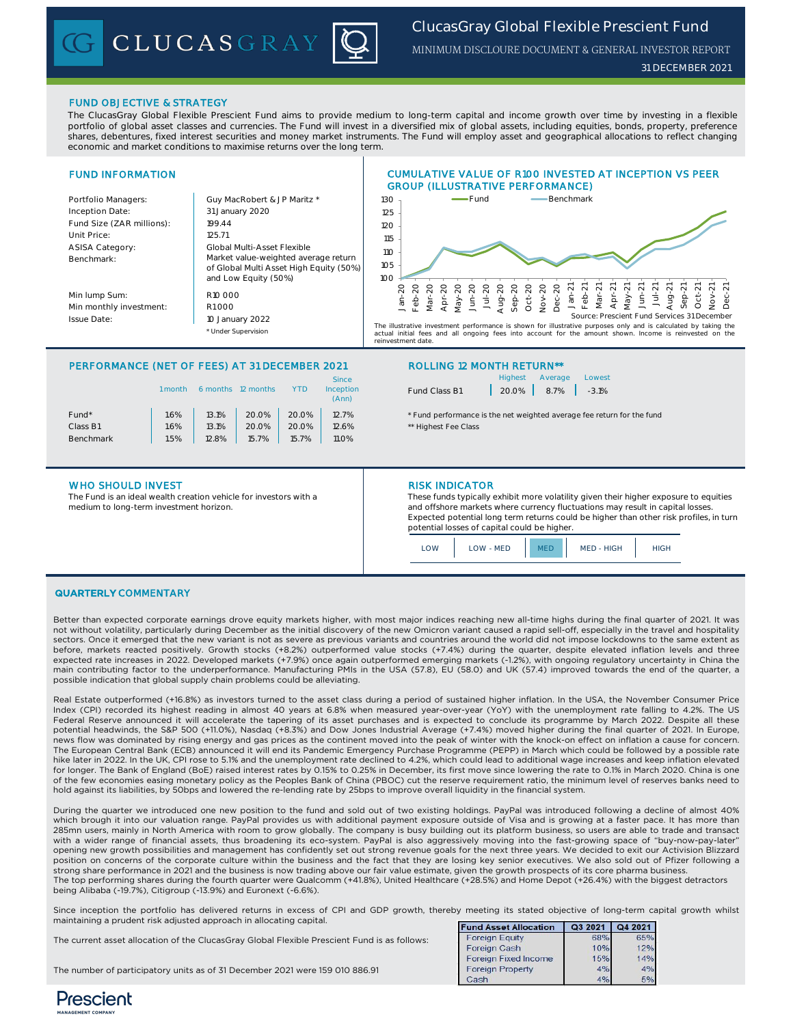# *ClucasGray Global Flexible Prescient Fund* MINIMUM DISCLOURE DOCUMENT & GENERAL INVESTOR REPORT

### FUND OBJECTIVE & STRATEGY

The ClucasGray Global Flexible Prescient Fund aims to provide medium to long-term capital and income growth over time by investing in a flexible portfolio of global asset classes and currencies. The Fund will invest in a diversified mix of global assets, including equities, bonds, property, preference shares, debentures, fixed interest securities and money market instruments. The Fund will employ asset and geographical allocations to reflect changing economic and market conditions to maximise returns over the long term.

### FUND INFORMATION

 $B<sub>6</sub>$ 

Mi

 $\overline{\mathsf{Is}}$ 

| Portfolio Managers:       | Guy MacRobert & JP Maritz *                                                                             |
|---------------------------|---------------------------------------------------------------------------------------------------------|
| Inception Date:           | 31 January 2020                                                                                         |
| Fund Size (ZAR millions): | 199.44                                                                                                  |
| Unit Price:               | 125.71                                                                                                  |
| <b>ASISA Category:</b>    | Global Multi-Asset Flexible                                                                             |
| Benchmark:                | Market value-weighted average return<br>of Global Multi Asset High Equity (50%)<br>and Low Equity (50%) |
| Min lump Sum:             | R10 000                                                                                                 |
| Min monthly investment:   | R1000                                                                                                   |
| Issue Date:               | 10 January 2022                                                                                         |

CLUCASGRAY





The illustrative investment performance is shown for illustrative purposes only and is calculated by taking the actual initial fees and all ongoing fees into account for the amount shown income is reinvested on the actual initial fees and all ongoing fees into account for the amount shown. Income is reinvested on ur minur roos<br>.estment date

### PERFORMANCE (NET OF FEES) AT 31 DECEMBER 2021 ROLLING 12 MONTH RETURN\*\*

\* Under Supervision

|                   | 1 month | 6 months | 12 months | YTD   | Since<br>Inception<br>(Ann) |
|-------------------|---------|----------|-----------|-------|-----------------------------|
| Fund <sup>*</sup> | 1.6%    | 13.1%    | 20.0%     | 20.0% | 12.7%                       |
| Class B1          | 1.6%    | 13.1%    | 20.0%     | 20.0% | 12.6%                       |
| <b>Benchmark</b>  | 1.5%    | 12.8%    | 15.7%     | 15.7% | <b>11.0%</b>                |
|                   |         |          |           |       |                             |

### WHO SHOULD INVEST **RISK INDICATOR**

The Fund is an ideal wealth creation vehicle for investors with a medium to long-term investment horizon.

|               | Highest Average               | Lowest |
|---------------|-------------------------------|--------|
| Fund Class B1 | $20.0\%$   $8.7\%$   $-3.1\%$ |        |

\* Fund performance is the net weighted average fee return for the fund \*\* Highest Fee Class

These funds typically exhibit more volatility given their higher exposure to equities and offshore markets where currency fluctuations may result in capital losses. Expected potential long term returns could be higher than other risk profiles, in turn potential losses of capital could be higher.

| .OW | LOW - MED | MED | MED - HIGH | <b>HIGH</b> |
|-----|-----------|-----|------------|-------------|
|-----|-----------|-----|------------|-------------|

### QUARTERLY COMMENTARY

Better than expected corporate earnings drove equity markets higher, with most major indices reaching new all-time highs during the final quarter of 2021. It was not without volatility, particularly during December as the initial discovery of the new Omicron variant caused a rapid sell-off, especially in the travel and hospitality sectors. Once it emerged that the new variant is not as severe as previous variants and countries around the world did not impose lockdowns to the same extent as before, markets reacted positively. Growth stocks (+8.2%) outperformed value stocks (+7.4%) during the quarter, despite elevated inflation levels and three expected rate increases in 2022. Developed markets (+7.9%) once again outperformed emerging markets (-1.2%), with ongoing regulatory uncertainty in China the main contributing factor to the underperformance. Manufacturing PMIs in the USA (57.8), EU (58.0) and UK (57.4) improved towards the end of the quarter, a possible indication that global supply chain problems could be alleviating.

Real Estate outperformed (+16.8%) as investors turned to the asset class during a period of sustained higher inflation. In the USA, the November Consumer Price Index (CPI) recorded its highest reading in almost 40 years at 6.8% when measured year-over-year (YoY) with the unemployment rate falling to 4.2%. The US Federal Reserve announced it will accelerate the tapering of its asset purchases and is expected to conclude its programme by March 2022. Despite all these potential headwinds, the S&P 500 (+11.0%), Nasdaq (+8.3%) and Dow Jones Industrial Average (+7.4%) moved higher during the final quarter of 2021. In Europe, news flow was dominated by rising energy and gas prices as the continent moved into the peak of winter with the knock-on effect on inflation a cause for concern. The European Central Bank (ECB) announced it will end its Pandemic Emergency Purchase Programme (PEPP) in March which could be followed by a possible rate hike later in 2022. In the UK, CPI rose to 5.1% and the unemployment rate declined to 4.2%, which could lead to additional wage increases and keep inflation elevated for longer. The Bank of England (BoE) raised interest rates by 0.15% to 0.25% in December, its first move since lowering the rate to 0.1% in March 2020. China is one of the few economies easing monetary policy as the Peoples Bank of China (PBOC) cut the reserve requirement ratio, the minimum level of reserves banks need to<br>hold against its liabilities, by 50bps and lowered the re-lendi

During the quarter we introduced one new position to the fund and sold out of two existing holdings. PayPal was introduced following a decline of almost 40% which brough it into our valuation range. PayPal provides us with additional payment exposure outside of Visa and is growing at a faster pace. It has more than 285mn users, mainly in North America with room to grow globally. The company is busy building out its platform business, so users are able to trade and transact with a wider range of financial assets, thus broadening its eco-system. PayPal is also aggressively moving into the fast-growing space of "buy-now-pay-later" opening new growth possibilities and management has confidently set out strong revenue goals for the next three years. We decided to exit our Activision Blizzard position on concerns of the corporate culture within the business and the fact that they are losing key senior executives. We also sold out of Pfizer following a strong share performance in 2021 and the business is now trading above our fair value estimate, given the growth prospects of its core pharma business The top performing shares during the fourth quarter were Qualcomm (+41.8%), United Healthcare (+28.5%) and Home Depot (+26.4%) with the biggest detractors being Alibaba (-19.7%), Citigroup (-13.9%) and Euronext (-6.6%).

Since inception the portfolio has delivered returns in excess of CPI and GDP growth, thereby meeting its stated objective of long-term capital growth whilst maintaining a prudent risk adjusted approach in allocating capital. Fund Asset Allocation | Q3 2021 | Q4 2021

| The current asset allocation of the ClucasGray Global Flexible Prescient Fund is as follows: | <b>Foreign Equity</b>   | 68%        | 65%  |  |
|----------------------------------------------------------------------------------------------|-------------------------|------------|------|--|
|                                                                                              | Foreign Cash            | 10%        | 12%  |  |
|                                                                                              | Foreign Fixed Income    | <b>15%</b> | 14%  |  |
| The number of participatory units as of 31 December 2021 were 159 010 886.91                 | <b>Foreign Property</b> | 4%         | 4%   |  |
|                                                                                              |                         | ADI        | F.O. |  |

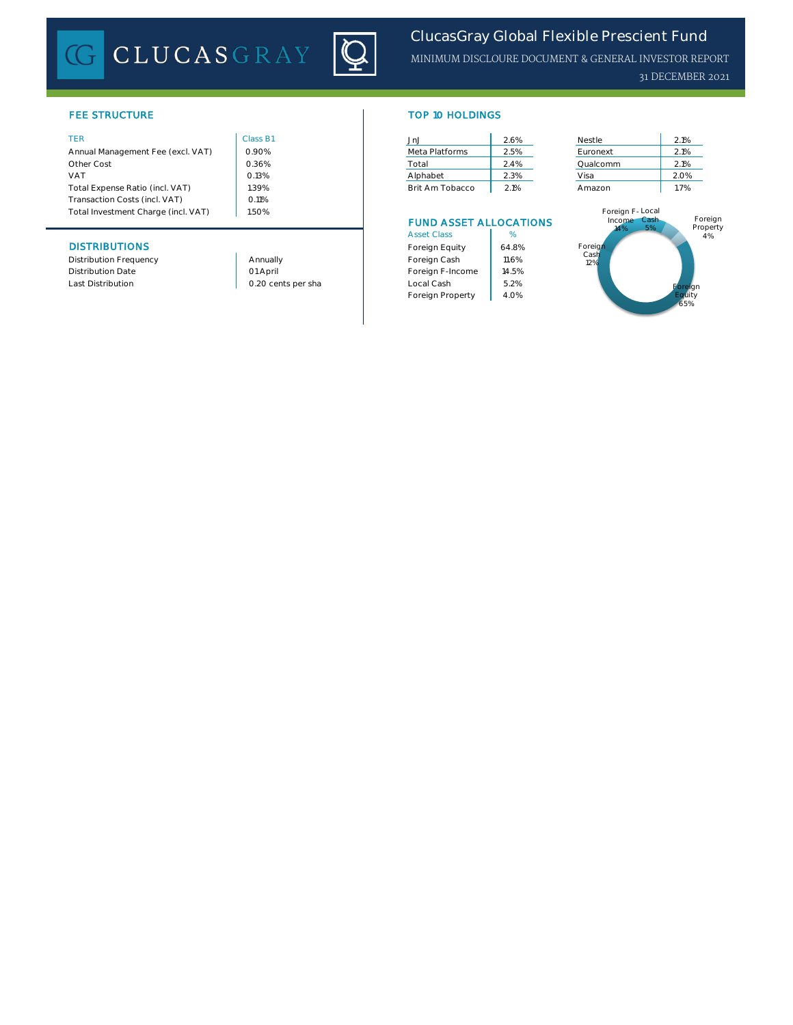# CLUCASGRAY



| Annual Management Fee (excl. VAT)   | 0.90%    | Meta Platforms  | 2.5% | Euronext        | 2.1% |
|-------------------------------------|----------|-----------------|------|-----------------|------|
| Other Cost                          | 0.36%    | Total           | 2.4% | Qualcomm        | 2.1% |
| <b>VAT</b>                          | 0.13%    | Alphabet        | 2.3% | Visa            | 2.0% |
| Total Expense Ratio (incl. VAT)     | .39%     | Brit Am Tobacco | 2.1% | Amazon          | 1.7% |
| Transaction Costs (incl. VAT)       | $0.11\%$ |                 |      |                 |      |
| Total Investment Charge (incl. VAT) | 1.50%    |                 |      | Foreign F-Local |      |

### **DISTRIBUTIONS**

Distribution Frequency **Annually** Annually Distribution Date

1.50%

01 April

### FEE STRUCTURE TOP 10 HOLDINGS

| TER                               | Class B1 | .Jn.J           | 2.6% | Nestle   | 2.1% |
|-----------------------------------|----------|-----------------|------|----------|------|
| Annual Management Fee (excl. VAT) | 0.90%    | Meta Platforms  | 2.5% | Euronext | 2.1% |
| Other Cost                        | 0.36%    | Total           | 2.4% | Oualcomm | 2.1% |
| VAT                               | 0.13%    | Alphabet        | 2.3% | Visa     | 2.0% |
| Total Expense Ratio (incl. VAT)   | .39%     | Brit Am Tobacco | 2.1% | Amazon   | 1.7% |

### FUND ASSET ALLOCATIONS

| <b>Asset Class</b> | %     |
|--------------------|-------|
| Foreign Equity     | 64.8% |
| Foreign Cash       | 11 6% |
| Foreign F-Income   | 14.5% |
| Local Cash         | 52%   |
| Foreign Property   | 4.0%  |